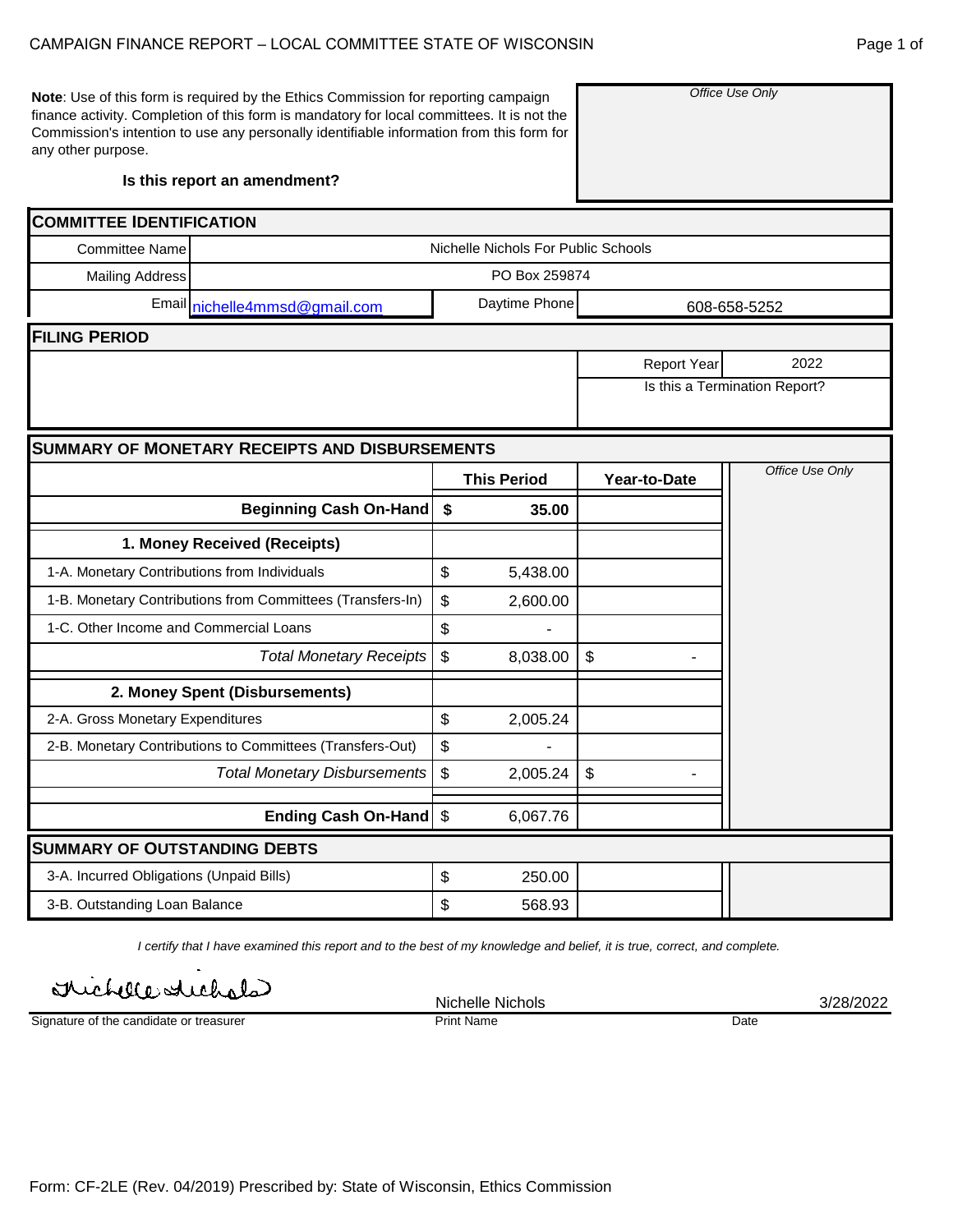**Note**: Use of this form is required by the Ethics Commission for reporting campaign finance activity. Completion of this form is mandatory for local committees. It is not the Commission's intention to use any personally identifiable information from this form for any other purpose.

**Is this report an amendment?**

| <b>COMMITTEE IDENTIFICATION</b>              |                                                            |                |                    |                    |                               |  |  |  |  |  |  |
|----------------------------------------------|------------------------------------------------------------|----------------|--------------------|--------------------|-------------------------------|--|--|--|--|--|--|
| <b>Committee Name</b>                        | Nichelle Nichols For Public Schools                        |                |                    |                    |                               |  |  |  |  |  |  |
| <b>Mailing Address</b>                       |                                                            |                | PO Box 259874      |                    |                               |  |  |  |  |  |  |
|                                              | Email nichelle4mmsd@gmail.com                              |                | Daytime Phone      |                    | 608-658-5252                  |  |  |  |  |  |  |
| <b>FILING PERIOD</b>                         |                                                            |                |                    |                    |                               |  |  |  |  |  |  |
|                                              |                                                            |                |                    | <b>Report Year</b> | 2022                          |  |  |  |  |  |  |
|                                              |                                                            |                |                    |                    | Is this a Termination Report? |  |  |  |  |  |  |
|                                              |                                                            |                |                    |                    |                               |  |  |  |  |  |  |
|                                              | <b>SUMMARY OF MONETARY RECEIPTS AND DISBURSEMENTS</b>      |                |                    |                    |                               |  |  |  |  |  |  |
|                                              |                                                            |                | <b>This Period</b> | Year-to-Date       | Office Use Only               |  |  |  |  |  |  |
|                                              | <b>Beginning Cash On-Hand</b>                              | \$             | 35.00              |                    |                               |  |  |  |  |  |  |
|                                              | 1. Money Received (Receipts)                               |                |                    |                    |                               |  |  |  |  |  |  |
| 1-A. Monetary Contributions from Individuals |                                                            | \$             | 5,438.00           |                    |                               |  |  |  |  |  |  |
|                                              | 1-B. Monetary Contributions from Committees (Transfers-In) | $\, \, \$$     | 2,600.00           |                    |                               |  |  |  |  |  |  |
| 1-C. Other Income and Commercial Loans       |                                                            | \$             |                    |                    |                               |  |  |  |  |  |  |
|                                              | <b>Total Monetary Receipts</b>                             | $\mathfrak{S}$ | 8,038.00           | $\mathfrak{S}$     |                               |  |  |  |  |  |  |
|                                              | 2. Money Spent (Disbursements)                             |                |                    |                    |                               |  |  |  |  |  |  |
| 2-A. Gross Monetary Expenditures             |                                                            | \$             | 2,005.24           |                    |                               |  |  |  |  |  |  |
|                                              | 2-B. Monetary Contributions to Committees (Transfers-Out)  | \$             |                    |                    |                               |  |  |  |  |  |  |
|                                              | <b>Total Monetary Disbursements</b>                        | \$             | 2,005.24           | \$                 |                               |  |  |  |  |  |  |
|                                              | Ending Cash On-Hand   \$                                   |                | 6,067.76           |                    |                               |  |  |  |  |  |  |
| <b>SUMMARY OF OUTSTANDING DEBTS</b>          |                                                            |                |                    |                    |                               |  |  |  |  |  |  |
| 3-A. Incurred Obligations (Unpaid Bills)     |                                                            | \$             | 250.00             |                    |                               |  |  |  |  |  |  |
| 3-B. Outstanding Loan Balance                |                                                            | \$             | 568.93             |                    |                               |  |  |  |  |  |  |
|                                              |                                                            |                |                    |                    |                               |  |  |  |  |  |  |

*I certify that I have examined this report and to the best of my knowledge and belief, it is true, correct, and complete.*

Irichelle stickals

Signature of the candidate or treasurer

Nichelle Nichols 3/28/2022 Print Name Date

*Office Use Only*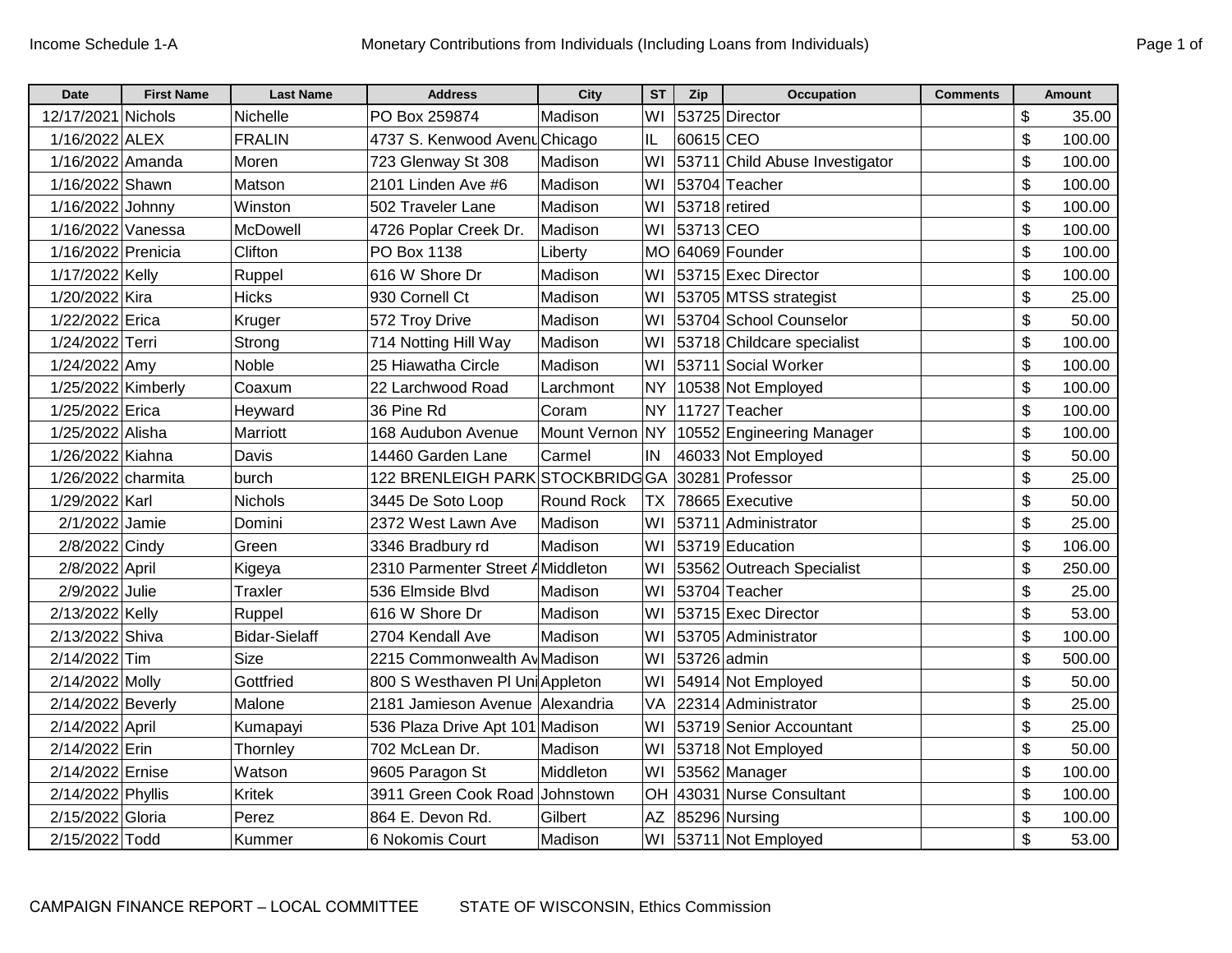| <b>Date</b>        | <b>First Name</b> | <b>Last Name</b>     | <b>Address</b>                   | City              | $\overline{\text{ST}}$ | Zip         | <b>Occupation</b>              | <b>Comments</b> | <b>Amount</b> |
|--------------------|-------------------|----------------------|----------------------------------|-------------------|------------------------|-------------|--------------------------------|-----------------|---------------|
| 12/17/2021 Nichols |                   | Nichelle             | PO Box 259874                    | Madison           | WI                     |             | 53725 Director                 |                 | \$<br>35.00   |
| 1/16/2022 ALEX     |                   | <b>FRALIN</b>        | 4737 S. Kenwood Avenu Chicago    |                   | IL                     | 60615 CEO   |                                |                 | \$<br>100.00  |
| 1/16/2022 Amanda   |                   | Moren                | 723 Glenway St 308               | Madison           | WI                     |             | 53711 Child Abuse Investigator |                 | \$<br>100.00  |
| 1/16/2022 Shawn    |                   | Matson               | 2101 Linden Ave #6               | Madison           | WI                     |             | 53704 Teacher                  |                 | \$<br>100.00  |
| 1/16/2022 Johnny   |                   | Winston              | 502 Traveler Lane                | Madison           | WI                     |             | 53718 retired                  |                 | \$<br>100.00  |
| 1/16/2022 Vanessa  |                   | McDowell             | 4726 Poplar Creek Dr.            | Madison           | WI                     | 53713 CEO   |                                |                 | \$<br>100.00  |
| 1/16/2022 Prenicia |                   | Clifton              | PO Box 1138                      | Liberty           | <b>MO</b>              |             | 64069 Founder                  |                 | \$<br>100.00  |
| 1/17/2022 Kelly    |                   | Ruppel               | 616 W Shore Dr                   | Madison           | WI                     |             | 53715 Exec Director            |                 | \$<br>100.00  |
| 1/20/2022 Kira     |                   | <b>Hicks</b>         | 930 Cornell Ct                   | Madison           | WI                     |             | 53705 MTSS strategist          |                 | \$<br>25.00   |
| 1/22/2022 Erica    |                   | Kruger               | 572 Troy Drive                   | Madison           | WI                     |             | 53704 School Counselor         |                 | \$<br>50.00   |
| 1/24/2022 Terri    |                   | Strong               | 714 Notting Hill Way             | Madison           | WI                     |             | 53718 Childcare specialist     |                 | \$<br>100.00  |
| 1/24/2022 Amy      |                   | <b>Noble</b>         | 25 Hiawatha Circle               | Madison           | WI                     |             | 53711 Social Worker            |                 | \$<br>100.00  |
| 1/25/2022 Kimberly |                   | Coaxum               | 22 Larchwood Road                | Larchmont         | NY.                    |             | 10538 Not Employed             |                 | \$<br>100.00  |
| 1/25/2022 Erica    |                   | Heyward              | 36 Pine Rd                       | Coram             | <b>NY</b>              |             | 11727 Teacher                  |                 | \$<br>100.00  |
| 1/25/2022 Alisha   |                   | Marriott             | 168 Audubon Avenue               | Mount Vernon NY   |                        |             | 10552 Engineering Manager      |                 | \$<br>100.00  |
| 1/26/2022 Kiahna   |                   | Davis                | 14460 Garden Lane                | Carmel            | IN                     |             | 46033 Not Employed             |                 | \$<br>50.00   |
| 1/26/2022 charmita |                   | burch                | 122 BRENLEIGH PARK STOCKBRIDG GA |                   |                        |             | 30281 Professor                |                 | \$<br>25.00   |
| 1/29/2022 Karl     |                   | <b>Nichols</b>       | 3445 De Soto Loop                | <b>Round Rock</b> | <b>TX</b>              |             | 78665 Executive                |                 | \$<br>50.00   |
| 2/1/2022 Jamie     |                   | Domini               | 2372 West Lawn Ave               | Madison           | WI                     |             | 53711 Administrator            |                 | \$<br>25.00   |
| 2/8/2022 Cindy     |                   | Green                | 3346 Bradbury rd                 | Madison           | WI                     |             | 53719 Education                |                 | \$<br>106.00  |
| 2/8/2022 April     |                   | Kigeya               | 2310 Parmenter Street AMiddleton |                   | WI                     |             | 53562 Outreach Specialist      |                 | \$<br>250.00  |
| 2/9/2022 Julie     |                   | Traxler              | 536 Elmside Blvd                 | Madison           | WI                     |             | 53704 Teacher                  |                 | \$<br>25.00   |
| 2/13/2022 Kelly    |                   | Ruppel               | 616 W Shore Dr                   | Madison           | WI                     |             | 53715 Exec Director            |                 | \$<br>53.00   |
| 2/13/2022 Shiva    |                   | <b>Bidar-Sielaff</b> | 2704 Kendall Ave                 | Madison           | WI                     |             | 53705 Administrator            |                 | \$<br>100.00  |
| 2/14/2022 Tim      |                   | <b>Size</b>          | 2215 Commonwealth Ay Madison     |                   | WI                     | 53726 admin |                                |                 | \$<br>500.00  |
| 2/14/2022 Molly    |                   | Gottfried            | 800 S Westhaven PI UniAppleton   |                   | WI                     |             | 54914 Not Employed             |                 | \$<br>50.00   |
| 2/14/2022 Beverly  |                   | Malone               | 2181 Jamieson Avenue Alexandria  |                   | VA                     |             | 22314 Administrator            |                 | \$<br>25.00   |
| 2/14/2022 April    |                   | Kumapayi             | 536 Plaza Drive Apt 101 Madison  |                   | WI                     |             | 53719 Senior Accountant        |                 | \$<br>25.00   |
| 2/14/2022 Erin     |                   | Thornley             | 702 McLean Dr.                   | Madison           | WI                     |             | 53718 Not Employed             |                 | \$<br>50.00   |
| 2/14/2022 Ernise   |                   | Watson               | 9605 Paragon St                  | Middleton         | WI                     |             | 53562 Manager                  |                 | \$<br>100.00  |
| 2/14/2022 Phyllis  |                   | Kritek               | 3911 Green Cook Road Johnstown   |                   | OH                     |             | 43031 Nurse Consultant         |                 | \$<br>100.00  |
| 2/15/2022 Gloria   |                   | Perez                | 864 E. Devon Rd.                 | Gilbert           | <b>AZ</b>              |             | 85296 Nursing                  |                 | \$<br>100.00  |
| 2/15/2022 Todd     |                   | Kummer               | 6 Nokomis Court                  | Madison           | WI                     |             | 53711 Not Employed             |                 | \$<br>53.00   |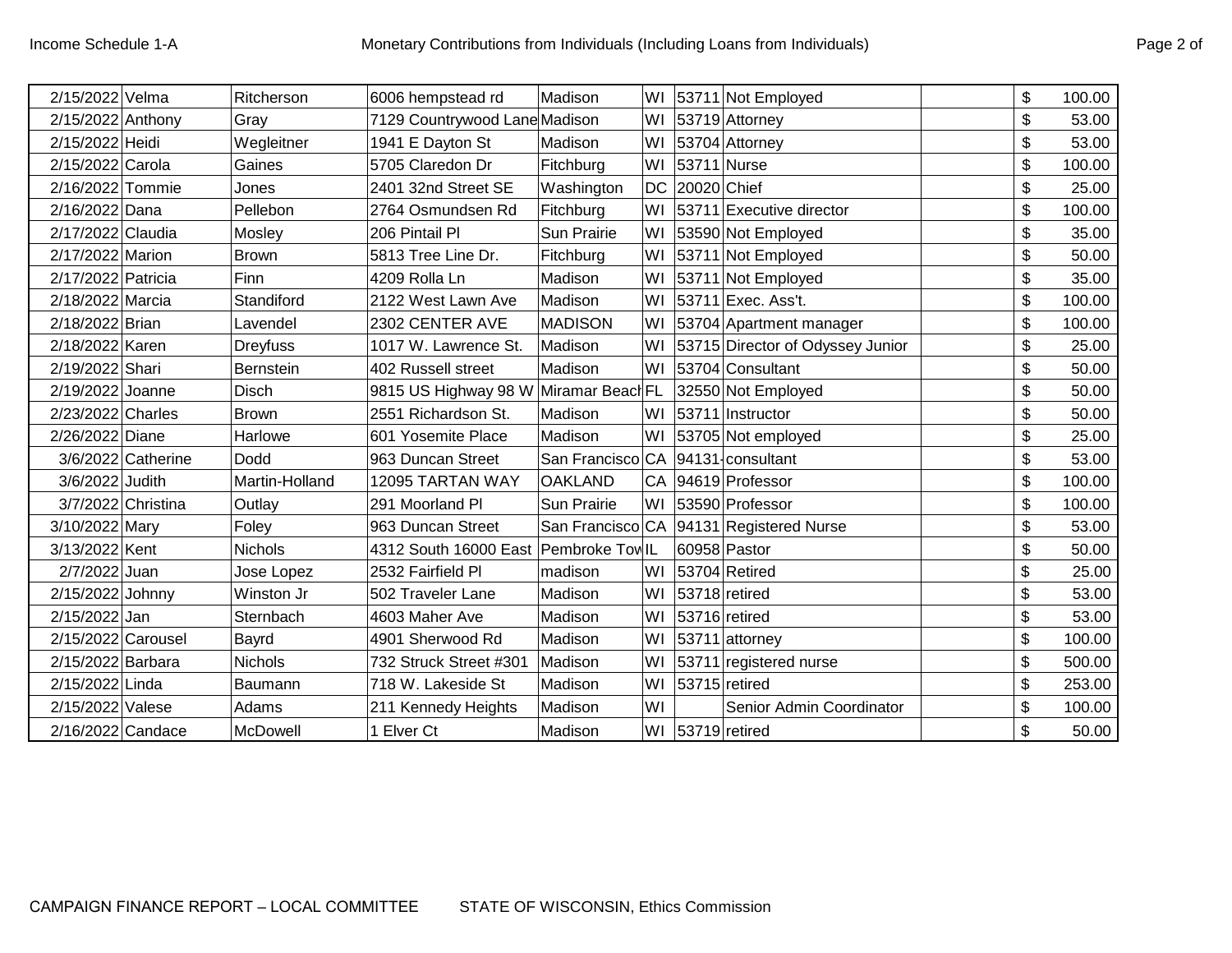| 2/15/2022 Velma    |                    | Ritcherson      | 6006 hempstead rd                     | Madison          |           |             | WI 53711 Not Employed            | \$ | 100.00 |
|--------------------|--------------------|-----------------|---------------------------------------|------------------|-----------|-------------|----------------------------------|----|--------|
| 2/15/2022 Anthony  |                    | Gray            | 7129 Countrywood Lane Madison         |                  | WI        |             | 53719 Attorney                   | \$ | 53.00  |
| 2/15/2022 Heidi    |                    | Wegleitner      | 1941 E Dayton St                      | Madison          | WI        |             | 53704 Attorney                   | \$ | 53.00  |
| 2/15/2022 Carola   |                    | Gaines          | 5705 Claredon Dr                      | Fitchburg        | WI        |             | 53711 Nurse                      | \$ | 100.00 |
| 2/16/2022 Tommie   |                    | Jones           | 2401 32nd Street SE                   | Washington       | <b>DC</b> | 20020 Chief |                                  | \$ | 25.00  |
| 2/16/2022 Dana     |                    | Pellebon        | 2764 Osmundsen Rd                     | Fitchburg        | W1        |             | 53711 Executive director         | \$ | 100.00 |
| 2/17/2022 Claudia  |                    | Mosley          | 206 Pintail Pl                        | Sun Prairie      | WI        |             | 53590 Not Employed               | \$ | 35.00  |
| 2/17/2022 Marion   |                    | <b>Brown</b>    | 5813 Tree Line Dr.                    | Fitchburg        | WI        |             | 53711 Not Employed               | \$ | 50.00  |
| 2/17/2022 Patricia |                    | Finn            | 4209 Rolla Ln                         | Madison          | WI        |             | 53711 Not Employed               | \$ | 35.00  |
| 2/18/2022 Marcia   |                    | Standiford      | 2122 West Lawn Ave                    | Madison          |           |             | WI 53711 Exec. Ass't.            | \$ | 100.00 |
| 2/18/2022 Brian    |                    | Lavendel        | 2302 CENTER AVE                       | <b>MADISON</b>   | WI        |             | 53704 Apartment manager          | \$ | 100.00 |
| 2/18/2022 Karen    |                    | <b>Dreyfuss</b> | 1017 W. Lawrence St.                  | Madison          | WI        |             | 53715 Director of Odyssey Junior | \$ | 25.00  |
| 2/19/2022 Shari    |                    | Bernstein       | 402 Russell street                    | Madison          | WI        |             | 53704 Consultant                 | \$ | 50.00  |
| 2/19/2022 Joanne   |                    | <b>Disch</b>    | 9815 US Highway 98 W Miramar Beach FL |                  |           |             | 32550 Not Employed               | \$ | 50.00  |
| 2/23/2022 Charles  |                    | Brown           | 2551 Richardson St.                   | Madison          | WI I      |             | 53711 Instructor                 | \$ | 50.00  |
| 2/26/2022 Diane    |                    | Harlowe         | 601 Yosemite Place                    | Madison          | WI        |             | 53705 Not employed               | \$ | 25.00  |
|                    | 3/6/2022 Catherine | Dodd            | 963 Duncan Street                     | San Francisco CA |           |             | 94131-consultant                 | \$ | 53.00  |
| 3/6/2022 Judith    |                    | Martin-Holland  | 12095 TARTAN WAY                      | <b>OAKLAND</b>   | CA        |             | 94619 Professor                  | \$ | 100.00 |
| 3/7/2022 Christina |                    | Outlay          | 291 Moorland Pl                       | Sun Prairie      |           |             | WI 53590 Professor               | \$ | 100.00 |
| 3/10/2022 Mary     |                    | Foley           | 963 Duncan Street                     | San Francisco CA |           |             | 94131 Registered Nurse           | \$ | 53.00  |
| 3/13/2022 Kent     |                    | <b>Nichols</b>  | 4312 South 16000 East Pembroke TowlL  |                  |           |             | 60958 Pastor                     | \$ | 50.00  |
| 2/7/2022 Juan      |                    | Jose Lopez      | 2532 Fairfield Pl                     | madison          | WI        |             | 53704 Retired                    | \$ | 25.00  |
| 2/15/2022 Johnny   |                    | Winston Jr      | 502 Traveler Lane                     | Madison          | WI        |             | 53718 retired                    | \$ | 53.00  |
| 2/15/2022 Jan      |                    | Sternbach       | 4603 Maher Ave                        | Madison          | WI        |             | 53716 retired                    | \$ | 53.00  |
| 2/15/2022 Carousel |                    | Bayrd           | 4901 Sherwood Rd                      | Madison          | WI        |             | 53711 attorney                   | \$ | 100.00 |
| 2/15/2022 Barbara  |                    | <b>Nichols</b>  | 732 Struck Street #301                | Madison          | WI        |             | 53711 registered nurse           | \$ | 500.00 |
| 2/15/2022 Linda    |                    | Baumann         | 718 W. Lakeside St                    | Madison          | WI        |             | 53715 retired                    | \$ | 253.00 |
| 2/15/2022 Valese   |                    | Adams           | 211 Kennedy Heights                   | Madison          | WI        |             | Senior Admin Coordinator         | \$ | 100.00 |
| 2/16/2022 Candace  |                    | McDowell        | 1 Elver Ct                            | Madison          |           |             | WI 53719 retired                 | \$ | 50.00  |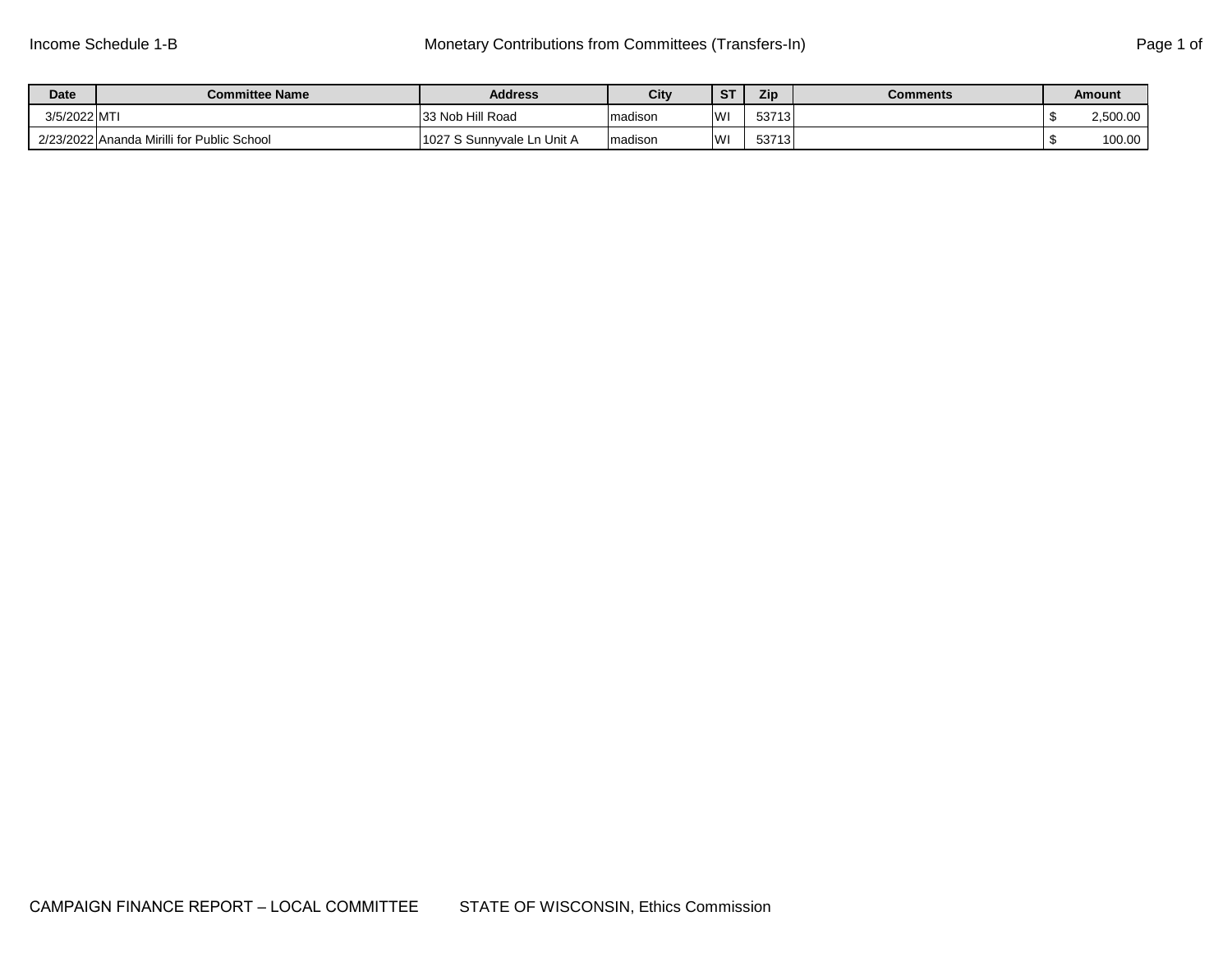| <b>Date</b> | <b>Committee Name</b>                      | <b>Address</b>             | City     | <b>ST</b> | Zip   | <b>Comments</b> | Amount   |
|-------------|--------------------------------------------|----------------------------|----------|-----------|-------|-----------------|----------|
| 3/5/2022 MT |                                            | 33 Nob Hill Road           | madison  | WI        | 53713 |                 | 2,500.00 |
|             | 2/23/2022 Ananda Mirilli for Public School | 1027 S Sunnyvale Ln Unit A | Imadison | WI        | 53713 |                 | 100.00   |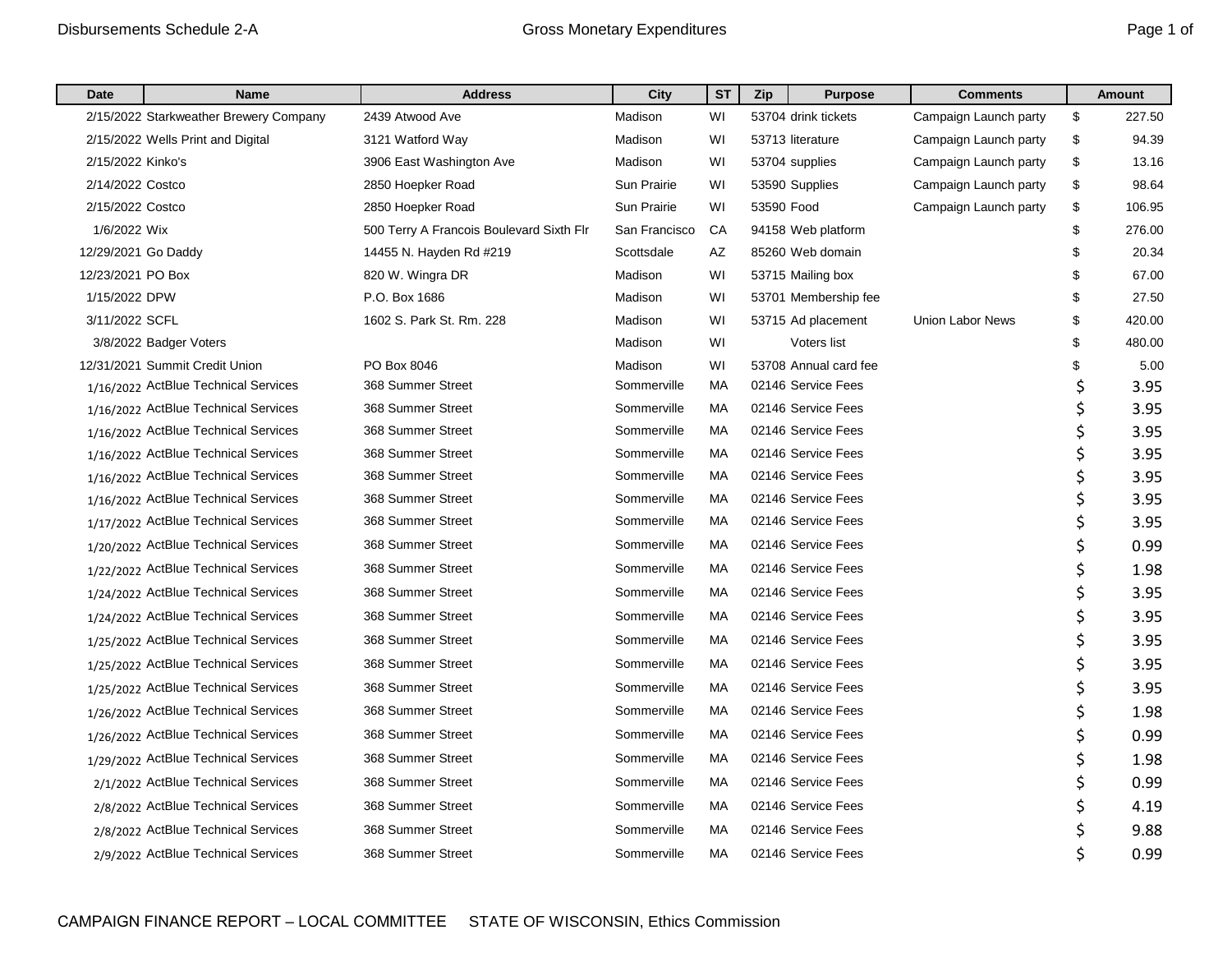| Date                | <b>Name</b>                            | <b>Address</b>                           | City          | <b>ST</b> | Zip        | <b>Purpose</b>        | <b>Comments</b>         | <b>Amount</b> |
|---------------------|----------------------------------------|------------------------------------------|---------------|-----------|------------|-----------------------|-------------------------|---------------|
|                     | 2/15/2022 Starkweather Brewery Company | 2439 Atwood Ave                          | Madison       | WI        |            | 53704 drink tickets   | Campaign Launch party   | \$<br>227.50  |
|                     | 2/15/2022 Wells Print and Digital      | 3121 Watford Way                         | Madison       | WI        |            | 53713 literature      | Campaign Launch party   | \$<br>94.39   |
| 2/15/2022 Kinko's   |                                        | 3906 East Washington Ave                 | Madison       | WI        |            | 53704 supplies        | Campaign Launch party   | \$<br>13.16   |
| 2/14/2022 Costco    |                                        | 2850 Hoepker Road                        | Sun Prairie   | WI        |            | 53590 Supplies        | Campaign Launch party   | \$<br>98.64   |
| 2/15/2022 Costco    |                                        | 2850 Hoepker Road                        | Sun Prairie   | WI        | 53590 Food |                       | Campaign Launch party   | \$<br>106.95  |
| 1/6/2022 Wix        |                                        | 500 Terry A Francois Boulevard Sixth Flr | San Francisco | CA        |            | 94158 Web platform    |                         | \$<br>276.00  |
| 12/29/2021 Go Daddy |                                        | 14455 N. Hayden Rd #219                  | Scottsdale    | AZ        |            | 85260 Web domain      |                         | \$<br>20.34   |
| 12/23/2021 PO Box   |                                        | 820 W. Wingra DR                         | Madison       | WI        |            | 53715 Mailing box     |                         | \$<br>67.00   |
| 1/15/2022 DPW       |                                        | P.O. Box 1686                            | Madison       | WI        |            | 53701 Membership fee  |                         | \$<br>27.50   |
| 3/11/2022 SCFL      |                                        | 1602 S. Park St. Rm. 228                 | Madison       | WI        |            | 53715 Ad placement    | <b>Union Labor News</b> | \$<br>420.00  |
|                     | 3/8/2022 Badger Voters                 |                                          | Madison       | WI        |            | Voters list           |                         | \$<br>480.00  |
|                     | 12/31/2021 Summit Credit Union         | PO Box 8046                              | Madison       | WI        |            | 53708 Annual card fee |                         | \$<br>5.00    |
|                     | 1/16/2022 ActBlue Technical Services   | 368 Summer Street                        | Sommerville   | МA        |            | 02146 Service Fees    |                         | \$<br>3.95    |
|                     | 1/16/2022 ActBlue Technical Services   | 368 Summer Street                        | Sommerville   | МA        |            | 02146 Service Fees    |                         | 3.95          |
|                     | 1/16/2022 ActBlue Technical Services   | 368 Summer Street                        | Sommerville   | МA        |            | 02146 Service Fees    |                         | 3.95          |
|                     | 1/16/2022 ActBlue Technical Services   | 368 Summer Street                        | Sommerville   | <b>MA</b> |            | 02146 Service Fees    |                         | 3.95          |
|                     | 1/16/2022 ActBlue Technical Services   | 368 Summer Street                        | Sommerville   | МA        |            | 02146 Service Fees    |                         | \$<br>3.95    |
|                     | 1/16/2022 ActBlue Technical Services   | 368 Summer Street                        | Sommerville   | МA        |            | 02146 Service Fees    |                         | \$<br>3.95    |
|                     | 1/17/2022 ActBlue Technical Services   | 368 Summer Street                        | Sommerville   | МA        |            | 02146 Service Fees    |                         | \$<br>3.95    |
|                     | 1/20/2022 ActBlue Technical Services   | 368 Summer Street                        | Sommerville   | MA        |            | 02146 Service Fees    |                         | \$<br>0.99    |
|                     | 1/22/2022 ActBlue Technical Services   | 368 Summer Street                        | Sommerville   | МA        |            | 02146 Service Fees    |                         | 1.98          |
|                     | 1/24/2022 ActBlue Technical Services   | 368 Summer Street                        | Sommerville   | МA        |            | 02146 Service Fees    |                         | \$<br>3.95    |
|                     | 1/24/2022 ActBlue Technical Services   | 368 Summer Street                        | Sommerville   | MA        |            | 02146 Service Fees    |                         | \$<br>3.95    |
|                     | 1/25/2022 ActBlue Technical Services   | 368 Summer Street                        | Sommerville   | MA        |            | 02146 Service Fees    |                         | 3.95          |
|                     | 1/25/2022 ActBlue Technical Services   | 368 Summer Street                        | Sommerville   | МA        |            | 02146 Service Fees    |                         | \$<br>3.95    |
|                     | 1/25/2022 ActBlue Technical Services   | 368 Summer Street                        | Sommerville   | МA        |            | 02146 Service Fees    |                         | \$<br>3.95    |
|                     | 1/26/2022 ActBlue Technical Services   | 368 Summer Street                        | Sommerville   | МA        |            | 02146 Service Fees    |                         | \$<br>1.98    |
|                     | 1/26/2022 ActBlue Technical Services   | 368 Summer Street                        | Sommerville   | МA        |            | 02146 Service Fees    |                         | \$<br>0.99    |
|                     | 1/29/2022 ActBlue Technical Services   | 368 Summer Street                        | Sommerville   | МA        |            | 02146 Service Fees    |                         | 1.98          |
|                     | 2/1/2022 ActBlue Technical Services    | 368 Summer Street                        | Sommerville   | MA        |            | 02146 Service Fees    |                         | \$<br>0.99    |
|                     | 2/8/2022 ActBlue Technical Services    | 368 Summer Street                        | Sommerville   | MA        |            | 02146 Service Fees    |                         | \$<br>4.19    |
|                     | 2/8/2022 ActBlue Technical Services    | 368 Summer Street                        | Sommerville   | МA        |            | 02146 Service Fees    |                         | \$<br>9.88    |
|                     | 2/9/2022 ActBlue Technical Services    | 368 Summer Street                        | Sommerville   | МA        |            | 02146 Service Fees    |                         | \$<br>0.99    |
|                     |                                        |                                          |               |           |            |                       |                         |               |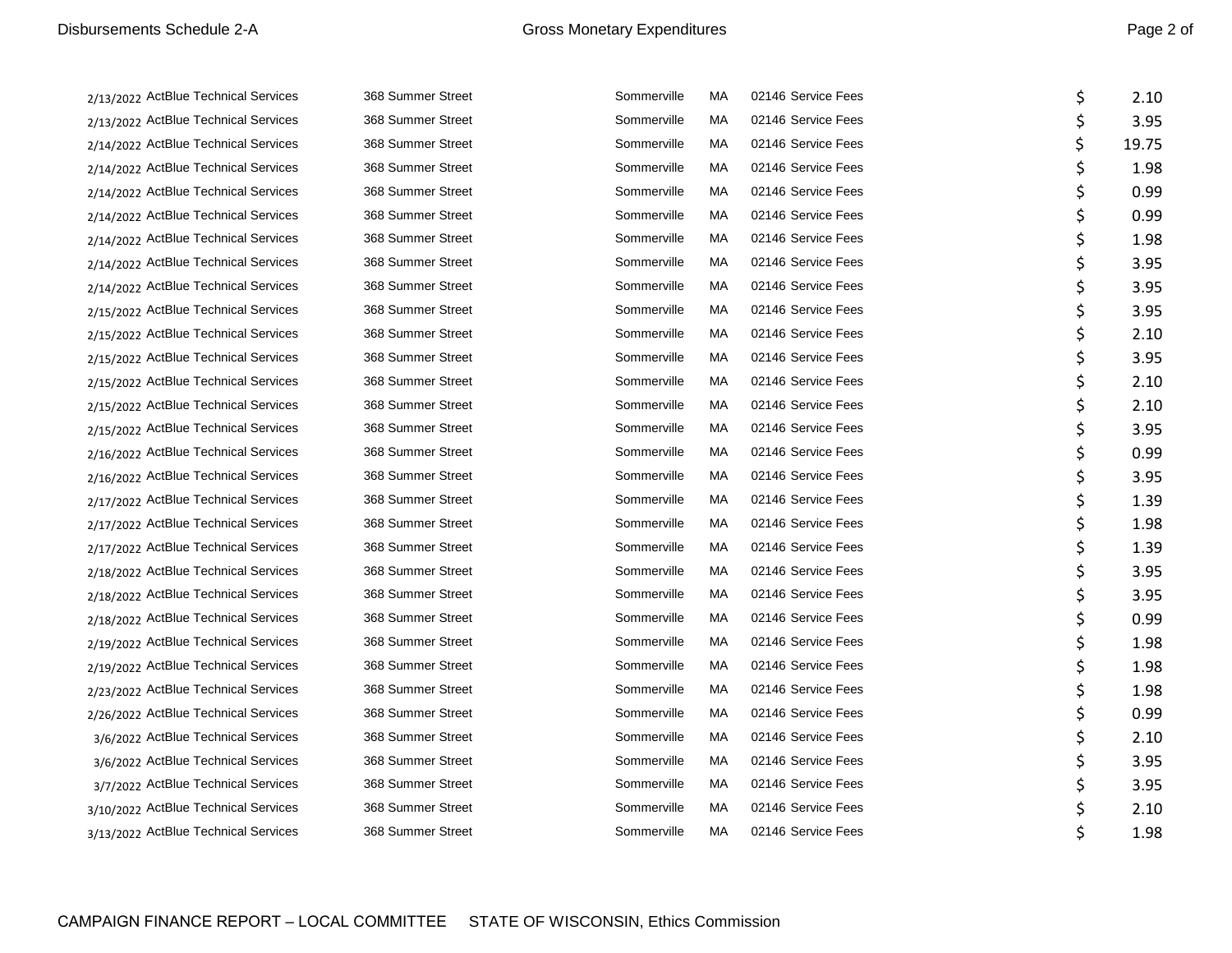2/13/2022 ActBlue Technical Services 2/13/2022 ActBlue Technical Services 2/14/2022 ActBlue Technical Services 2/14/2022 ActBlue Technical Services 2/14/2022 ActBlue Technical Services 2/14/2022 ActBlue Technical Services 2/14/2022 ActBlue Technical Services 2/14/2022 ActBlue Technical Services 2/14/2022 ActBlue Technical Services 2/15/2022 ActBlue Technical Services 2/15/2022 ActBlue Technical Services 2/15/2022 ActBlue Technical Services 2/15/2022 ActBlue Technical Services 2/15/2022 ActBlue Technical Services 2/15/2022 ActBlue Technical Services 2/16/2022 ActBlue Technical Services 2/16/2022 ActBlue Technical Services 2/17/2022 ActBlue Technical Services 2/17/2022 ActBlue Technical Services 2/17/2022 ActBlue Technical Services 2/18/2022 ActBlue Technical Services 2/18/2022 ActBlue Technical Services 2/18/2022 ActBlue Technical Services 2/19/2022 ActBlue Technical Services 2/19/2022 ActBlue Technical Services 2/23/2022 ActBlue Technical Services 2/26/2022 ActBlue Technical Services 3/6/2022 ActBlue Technical Services 3/6/2022 ActBlue Technical Services 3/7/2022 ActBlue Technical Services 3/10/2022 ActBlue Technical Services 3/13/2022 ActBlue Technical Services

| 368 Summer Street | Sommerville | МA | 02146 Service Fees | \$<br>2.10  |
|-------------------|-------------|----|--------------------|-------------|
| 368 Summer Street | Sommerville | МA | 02146 Service Fees | \$<br>3.95  |
| 368 Summer Street | Sommerville | МA | 02146 Service Fees | \$<br>19.75 |
| 368 Summer Street | Sommerville | МA | 02146 Service Fees | \$<br>1.98  |
| 368 Summer Street | Sommerville | МA | 02146 Service Fees | \$<br>0.99  |
| 368 Summer Street | Sommerville | МA | 02146 Service Fees | \$<br>0.99  |
| 368 Summer Street | Sommerville | МA | 02146 Service Fees | \$<br>1.98  |
| 368 Summer Street | Sommerville | МA | 02146 Service Fees | \$<br>3.95  |
| 368 Summer Street | Sommerville | МA | 02146 Service Fees | \$<br>3.95  |
| 368 Summer Street | Sommerville | МA | 02146 Service Fees | \$<br>3.95  |
| 368 Summer Street | Sommerville | МA | 02146 Service Fees | \$<br>2.10  |
| 368 Summer Street | Sommerville | МA | 02146 Service Fees | \$<br>3.95  |
| 368 Summer Street | Sommerville | МA | 02146 Service Fees | \$<br>2.10  |
| 368 Summer Street | Sommerville | МA | 02146 Service Fees | \$<br>2.10  |
| 368 Summer Street | Sommerville | МA | 02146 Service Fees | \$<br>3.95  |
| 368 Summer Street | Sommerville | МA | 02146 Service Fees | \$<br>0.99  |
| 368 Summer Street | Sommerville | МA | 02146 Service Fees | \$<br>3.95  |
| 368 Summer Street | Sommerville | МA | 02146 Service Fees | \$<br>1.39  |
| 368 Summer Street | Sommerville | МA | 02146 Service Fees | \$<br>1.98  |
| 368 Summer Street | Sommerville | МA | 02146 Service Fees | \$<br>1.39  |
| 368 Summer Street | Sommerville | МA | 02146 Service Fees | \$<br>3.95  |
| 368 Summer Street | Sommerville | МA | 02146 Service Fees | \$<br>3.95  |
| 368 Summer Street | Sommerville | МA | 02146 Service Fees | \$<br>0.99  |
| 368 Summer Street | Sommerville | МA | 02146 Service Fees | \$<br>1.98  |
| 368 Summer Street | Sommerville | МA | 02146 Service Fees | \$<br>1.98  |
| 368 Summer Street | Sommerville | МA | 02146 Service Fees | \$<br>1.98  |
| 368 Summer Street | Sommerville | МA | 02146 Service Fees | \$<br>0.99  |
| 368 Summer Street | Sommerville | МA | 02146 Service Fees | \$<br>2.10  |
| 368 Summer Street | Sommerville | МA | 02146 Service Fees | \$<br>3.95  |
| 368 Summer Street | Sommerville | МA | 02146 Service Fees | \$<br>3.95  |
| 368 Summer Street | Sommerville | МA | 02146 Service Fees | \$<br>2.10  |
| 368 Summer Street | Sommerville | МA | 02146 Service Fees | \$<br>1.98  |
|                   |             |    |                    |             |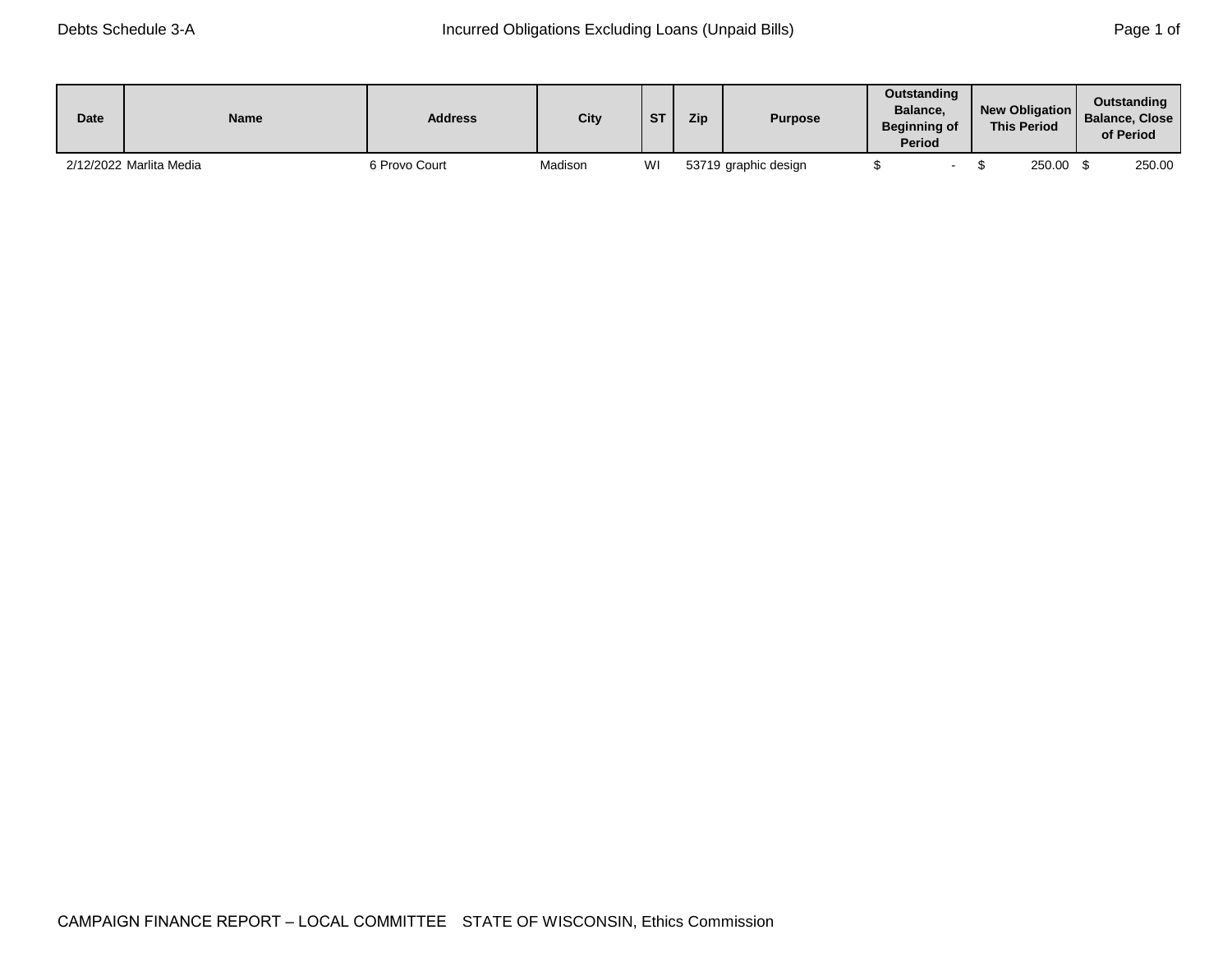| <b>Date</b> | <b>Name</b>             | <b>Address</b> | <b>City</b> | <b>CT</b> | Zip | <b>Purpose</b>       | <b>Outstanding</b><br>Balance.<br><b>Beginning of</b><br><b>Period</b> | <b>New Obligation</b><br><b>This Period</b> | Outstanding<br>Balance, Close<br>of Period |
|-------------|-------------------------|----------------|-------------|-----------|-----|----------------------|------------------------------------------------------------------------|---------------------------------------------|--------------------------------------------|
|             | 2/12/2022 Marlita Media | 6 Provo Court  | Madison     | WI        |     | 53719 graphic design |                                                                        | 250.00                                      | 250.00                                     |